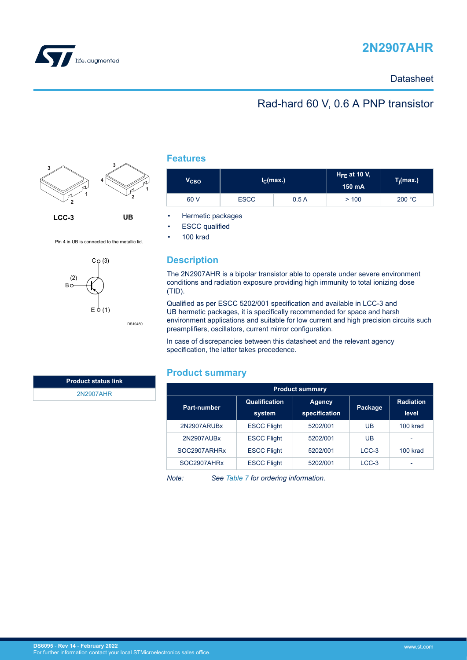



## **Datasheet**

## Rad-hard 60 V, 0.6 A PNP transistor





DS10460

### **Features**

| V <sub>CBO</sub> |             | I <sub>C</sub> (max.) |      | $T_i(max.)$ |  |
|------------------|-------------|-----------------------|------|-------------|--|
| 60 V             | <b>ESCC</b> | 0.5A                  | >100 | 200 °C      |  |

• Hermetic packages

**ESCC** qualified

• 100 krad

## **Description**

The 2N2907AHR is a bipolar transistor able to operate under severe environment conditions and radiation exposure providing high immunity to total ionizing dose (TID).

Qualified as per ESCC 5202/001 specification and available in LCC-3 and UB hermetic packages, it is specifically recommended for space and harsh environment applications and suitable for low current and high precision circuits such preamplifiers, oscillators, current mirror configuration.

In case of discrepancies between this datasheet and the relevant agency specification, the latter takes precedence.

### **Product summary**

| <b>Product summary</b> |                                |                                |         |                           |  |  |  |
|------------------------|--------------------------------|--------------------------------|---------|---------------------------|--|--|--|
| Part-number            | <b>Qualification</b><br>system | <b>Agency</b><br>specification | Package | <b>Radiation</b><br>level |  |  |  |
| 2N2907ARUBx            | <b>ESCC Flight</b>             | 5202/001                       | UB      | 100 krad                  |  |  |  |
| 2N2907AUBx             | <b>ESCC Flight</b>             | 5202/001                       | UB      | $\overline{\phantom{0}}$  |  |  |  |
| SOC2907ARHRx           | <b>ESCC Flight</b>             | 5202/001                       | $LCC-3$ | 100 krad                  |  |  |  |
| SOC2907AHRx            | <b>ESCC Flight</b>             | 5202/001                       | $LCC-3$ | $\blacksquare$            |  |  |  |

*Note: See [Table 7](#page-9-0) for ordering information.*

Pin 4 in UB is connected to the metallic lid.



[2N2907AHR](https://www.st.com/en/product/2n2907ahr?ecmp=tt9470_gl_link_feb2019&rt=ds&id=DS6095)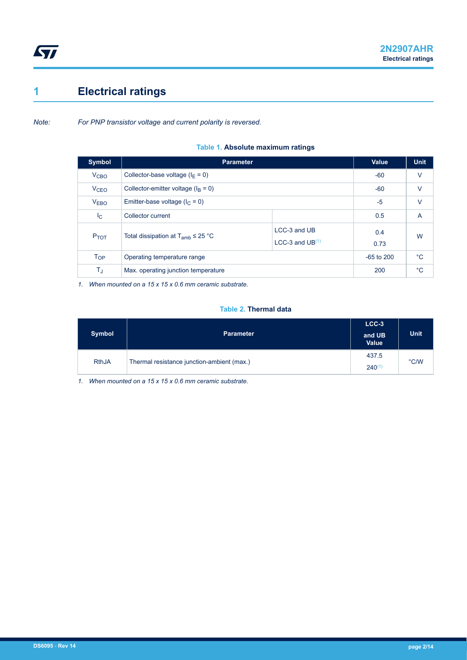# <span id="page-1-0"></span>**1 Electrical ratings**

*Note: For PNP transistor voltage and current polarity is reversed.*

|  |  | Table 1. Absolute maximum ratings |  |
|--|--|-----------------------------------|--|
|--|--|-----------------------------------|--|

| <b>Symbol</b>          | <b>Parameter</b>                                                               |      | Value        | <b>Unit</b>    |
|------------------------|--------------------------------------------------------------------------------|------|--------------|----------------|
| <b>V<sub>CBO</sub></b> | Collector-base voltage ( $I_F = 0$ )                                           |      | $-60$        | $\vee$         |
| <b>V<sub>CEO</sub></b> | Collector-emitter voltage ( $IB = 0$ )                                         | -60  | $\vee$       |                |
| <b>VEBO</b>            | Emitter-base voltage ( $I_C = 0$ )                                             | $-5$ | $\vee$       |                |
| $I_{\rm C}$            | Collector current                                                              |      | 0.5          | $\overline{A}$ |
| $P_{TOT}$              | LCC-3 and UB<br>Total dissipation at $T_{amb} \leq 25$ °C<br>LCC-3 and $UB(1)$ |      | 0.4<br>0.73  | W              |
| T <sub>OP</sub>        | Operating temperature range                                                    |      | $-65$ to 200 | $^{\circ}C$    |
| $T_{\rm J}$            | Max. operating junction temperature                                            | 200  | $^{\circ}$ C |                |

*1. When mounted on a 15 x 15 x 0.6 mm ceramic substrate.*

### **Table 2. Thermal data**

| <b>Symbol</b> | <b>Parameter</b>                           | LCC-3<br>and UB<br><b>Value</b> | <b>Unit</b> |
|---------------|--------------------------------------------|---------------------------------|-------------|
| <b>RthJA</b>  | Thermal resistance junction-ambient (max.) | 437.5                           | °C/W        |
|               |                                            | $240^{(1)}$                     |             |

*1. When mounted on a 15 x 15 x 0.6 mm ceramic substrate.*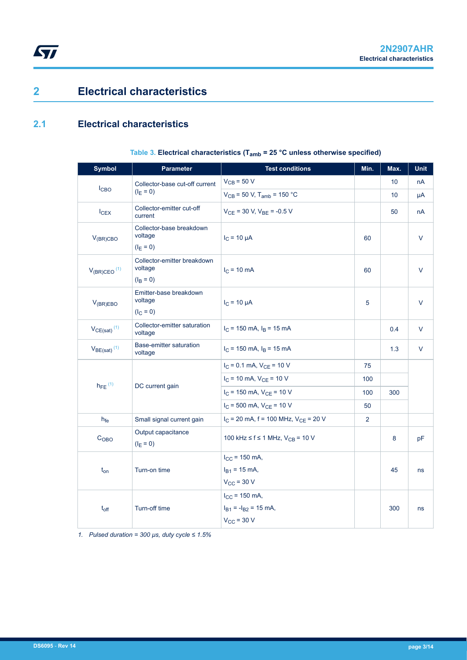## **2 Electrical characteristics**

## **2.1 Electrical characteristics**

<span id="page-2-0"></span>ST

| <b>Symbol</b>                | <b>Parameter</b>                        | <b>Test conditions</b>                      |                | Max.            | <b>Unit</b> |
|------------------------------|-----------------------------------------|---------------------------------------------|----------------|-----------------|-------------|
|                              | Collector-base cut-off current          | $V_{CB}$ = 50 V                             |                | 10 <sup>1</sup> | nA          |
| $I_{CBO}$                    | $(I_E = 0)$                             | $V_{CB}$ = 50 V, T <sub>amb</sub> = 150 °C  |                | 10              | μA          |
| $I_{CEX}$                    | Collector-emitter cut-off<br>current    | $V_{CE}$ = 30 V, $V_{BE}$ = -0.5 V          |                | 50              | nA          |
| $V_{(BR)CBO}$                | Collector-base breakdown<br>voltage     | $I_C = 10 \mu A$                            | 60             |                 | $\vee$      |
|                              | $(I_E = 0)$                             |                                             |                |                 |             |
| $V_{(BR)CEO}$ <sup>(1)</sup> | Collector-emitter breakdown<br>voltage  | $IC$ = 10 mA                                | 60             |                 | V           |
|                              | $(I_B = 0)$                             |                                             |                |                 |             |
| $V_{(BR)EBO}$                | Emitter-base breakdown<br>voltage       | $I_C = 10 \mu A$                            | 5              |                 | V           |
|                              | $(I_C = 0)$                             |                                             |                |                 |             |
| $V_{CE(sat)}$ <sup>(1)</sup> | Collector-emitter saturation<br>voltage | $I_C$ = 150 mA, $I_B$ = 15 mA               |                | 0.4             | V           |
| $V_{BE(sat)}$ <sup>(1)</sup> | Base-emitter saturation<br>voltage      | $I_C$ = 150 mA, $I_B$ = 15 mA               |                | 1.3             | V           |
|                              |                                         | $I_C = 0.1$ mA, $V_{CE} = 10$ V             | 75             |                 |             |
|                              |                                         | $I_C$ = 10 mA, $V_{CE}$ = 10 V              | 100            |                 |             |
| $h_{FE}$ <sup>(1)</sup>      | DC current gain                         | $I_C$ = 150 mA, $V_{CE}$ = 10 V             | 100            | 300             |             |
|                              |                                         | $I_C$ = 500 mA, $V_{CE}$ = 10 V             | 50             |                 |             |
| $h_{fe}$                     | Small signal current gain               | $I_C$ = 20 mA, f = 100 MHz, $V_{CE}$ = 20 V | $\overline{2}$ |                 |             |
| C <sub>OBO</sub>             | Output capacitance<br>$(I_E = 0)$       | 100 kHz ≤ f ≤ 1 MHz, $V_{CB}$ = 10 V        |                | 8               | pF          |
|                              |                                         | $I_{CC}$ = 150 mA,                          |                |                 |             |
| $t_{on}$                     | Turn-on time                            | $I_{B1}$ = 15 mA,                           |                | 45              | ns          |
|                              |                                         | $V_{CC}$ = 30 V                             |                |                 |             |
|                              |                                         | $I_{CC}$ = 150 mA,                          |                |                 |             |
| $t_{off}$                    | Turn-off time                           | $I_{B1} = -I_{B2} = 15$ mA,                 |                | 300             | ns          |
|                              |                                         | $V_{CC}$ = 30 V                             |                |                 |             |

### **Table 3. Electrical characteristics (Tamb = 25 °C unless otherwise specified)**

*1. Pulsed duration = 300 µs, duty cycle ≤ 1.5%*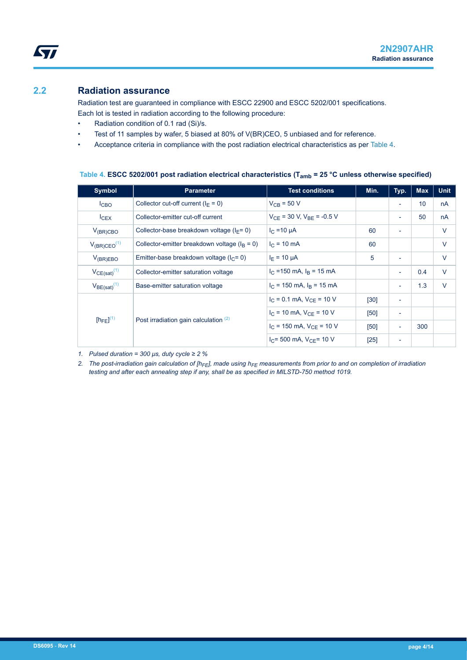### **2.2 Radiation assurance**

<span id="page-3-0"></span>**STI** 

Radiation test are guaranteed in compliance with ESCC 22900 and ESCC 5202/001 specifications. Each lot is tested in radiation according to the following procedure:

- Radiation condition of 0.1 rad (Si)/s.
- Test of 11 samples by wafer, 5 biased at 80% of V(BR)CEO, 5 unbiased and for reference.
- Acceptance criteria in compliance with the post radiation electrical characteristics as per Table 4.

### **Table 4. ESCC 5202/001 post radiation electrical characteristics (Tamb = 25 °C unless otherwise specified)**

| Symbol                              | <b>Parameter</b>                                  | <b>Test conditions</b>             | Min.   | Typ.                     | <b>Max</b> | <b>Unit</b> |
|-------------------------------------|---------------------------------------------------|------------------------------------|--------|--------------------------|------------|-------------|
| I <sub>CBO</sub>                    | Collector cut-off current ( $I_F = 0$ )           | $V_{CR}$ = 50 V                    |        | ۰                        | 10         | nA          |
| $I_{CEX}$                           | Collector-emitter cut-off current                 | $V_{CE}$ = 30 V, $V_{BE}$ = -0.5 V |        | $\overline{\phantom{0}}$ | 50         | nA          |
| $V_{(BR)CBO}$                       | Collector-base breakdown voltage ( $I_F$ = 0)     | $I_C = 10 \mu A$                   | 60     | $\overline{\phantom{a}}$ |            | $\vee$      |
| $V_{(BR)CEO}^{(1)}$                 | Collector-emitter breakdown voltage ( $I_B = 0$ ) | $I_C = 10$ mA                      | 60     |                          |            | $\vee$      |
| $V_{(BR)EBO}$                       | Emitter-base breakdown voltage ( $IC = 0$ )       | $I_F = 10 \mu A$                   | 5      |                          |            | $\vee$      |
| $V_{CE(sat)}^{(1)}$                 | Collector-emitter saturation voltage              | $I_C = 150$ mA, $I_B = 15$ mA      |        | ۰                        | 0.4        | $\vee$      |
| V <sub>BE(sat)</sub> <sup>(1)</sup> | Base-emitter saturation voltage                   | $I_C$ = 150 mA, $I_B$ = 15 mA      |        | ٠                        | 1.3        | $\vee$      |
|                                     |                                                   | $I_C = 0.1$ mA, $V_{CF} = 10$ V    | $[30]$ | $\overline{\phantom{a}}$ |            |             |
| $[h_{FE}]^{(1)}$                    | Post irradiation gain calculation $(2)$           | $I_C$ = 10 mA, $V_{CE}$ = 10 V     | [50]   | $\overline{\phantom{a}}$ |            |             |
|                                     |                                                   | $I_C$ = 150 mA, $V_{CF}$ = 10 V    | [50]   | $\overline{\phantom{a}}$ | 300        |             |
|                                     |                                                   | $I_C$ = 500 mA, $V_{C}$ = 10 V     | $[25]$ | $\overline{\phantom{a}}$ |            |             |

*1. Pulsed duration = 300 μs, duty cycle ≥ 2 %*

*2. The post-irradiation gain calculation of [hFE], made using hFE measurements from prior to and on completion of irradiation testing and after each annealing step if any, shall be as specified in MILSTD-750 method 1019.*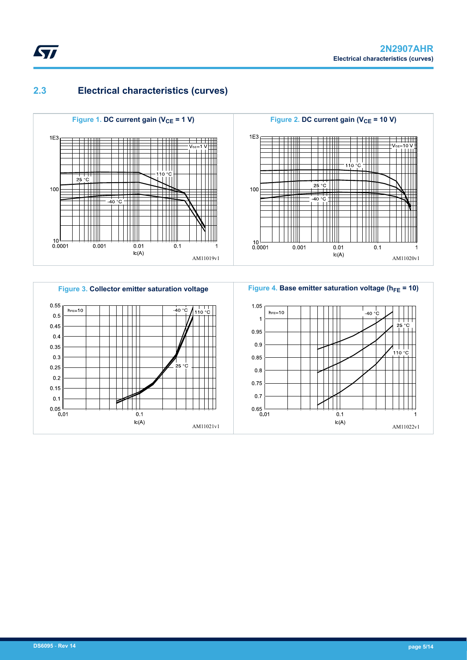## **2.3 Electrical characteristics (curves)**

<span id="page-4-0"></span>ST



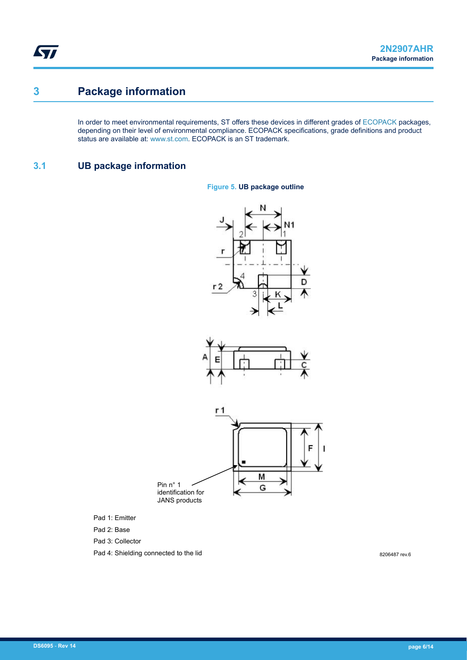## <span id="page-5-0"></span>**3 Package information**

In order to meet environmental requirements, ST offers these devices in different grades of [ECOPACK](https://www.st.com/ecopack) packages, depending on their level of environmental compliance. ECOPACK specifications, grade definitions and product status are available at: [www.st.com.](http://www.st.com) ECOPACK is an ST trademark.

**Figure 5. UB package outline**

### **3.1 UB package information**







Pad 1: Emitter

Pad 2: Base

Pad 3: Collector

Pad 4: Shielding connected to the lid

8206487 rev.6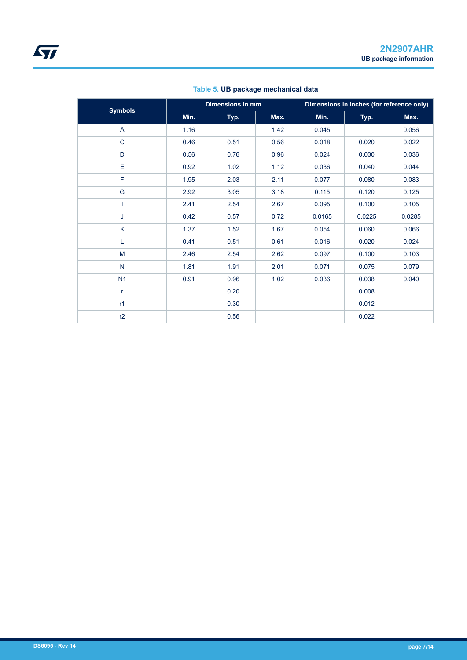| <b>Symbols</b> | <b>Dimensions in mm</b> |      |      | Dimensions in inches (for reference only) |        |        |  |
|----------------|-------------------------|------|------|-------------------------------------------|--------|--------|--|
|                | Min.                    | Typ. | Max. | Min.                                      | Typ.   | Max.   |  |
| A              | 1.16                    |      | 1.42 | 0.045                                     |        | 0.056  |  |
| $\mathbf C$    | 0.46                    | 0.51 | 0.56 | 0.018                                     | 0.020  | 0.022  |  |
| D              | 0.56                    | 0.76 | 0.96 | 0.024                                     | 0.030  | 0.036  |  |
| E              | 0.92                    | 1.02 | 1.12 | 0.036                                     | 0.040  | 0.044  |  |
| F              | 1.95                    | 2.03 | 2.11 | 0.077                                     | 0.080  | 0.083  |  |
| G              | 2.92                    | 3.05 | 3.18 | 0.115                                     | 0.120  | 0.125  |  |
| 1              | 2.41                    | 2.54 | 2.67 | 0.095                                     | 0.100  | 0.105  |  |
| J              | 0.42                    | 0.57 | 0.72 | 0.0165                                    | 0.0225 | 0.0285 |  |
| K              | 1.37                    | 1.52 | 1.67 | 0.054                                     | 0.060  | 0.066  |  |
| Г              | 0.41                    | 0.51 | 0.61 | 0.016                                     | 0.020  | 0.024  |  |
| M              | 2.46                    | 2.54 | 2.62 | 0.097                                     | 0.100  | 0.103  |  |
| $\mathsf{N}$   | 1.81                    | 1.91 | 2.01 | 0.071                                     | 0.075  | 0.079  |  |
| N <sub>1</sub> | 0.91                    | 0.96 | 1.02 | 0.036                                     | 0.038  | 0.040  |  |
| $\mathsf{r}$   |                         | 0.20 |      |                                           | 0.008  |        |  |
| r1             |                         | 0.30 |      |                                           | 0.012  |        |  |
| r2             |                         | 0.56 |      |                                           | 0.022  |        |  |

### **Table 5. UB package mechanical data**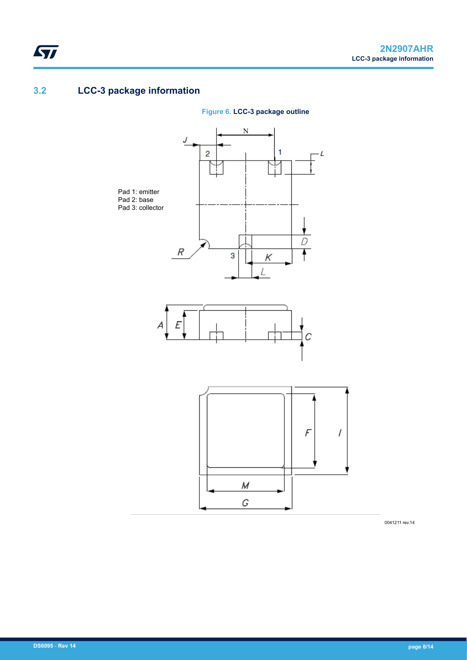## **3.2 LCC-3 package information**

<span id="page-7-0"></span>ST



**Figure 6. LCC-3 package outline**

0041211 rev.14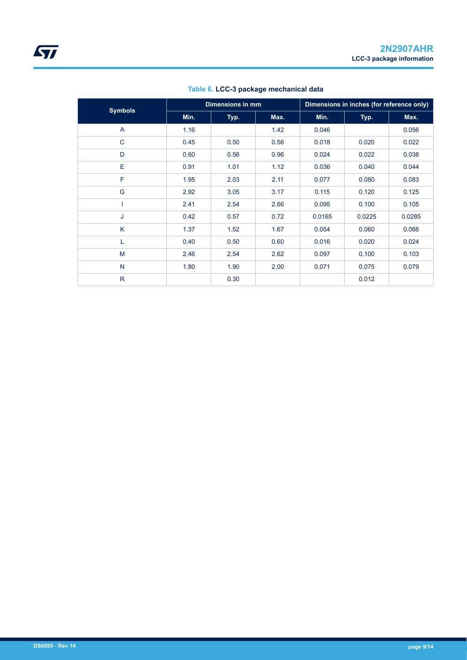| <b>Symbols</b> | <b>Dimensions in mm</b> |      |      | Dimensions in inches (for reference only) |        |        |  |
|----------------|-------------------------|------|------|-------------------------------------------|--------|--------|--|
|                | Min.                    | Typ. | Max. | Min.                                      | Typ.   | Max.   |  |
| $\overline{A}$ | 1.16                    |      | 1.42 | 0.046                                     |        | 0.056  |  |
| $\mathsf{C}$   | 0.45                    | 0.50 | 0.56 | 0.018                                     | 0.020  | 0.022  |  |
| D              | 0.60                    | 0.56 | 0.96 | 0.024                                     | 0.022  | 0.038  |  |
| E              | 0.91                    | 1.01 | 1.12 | 0.036                                     | 0.040  | 0.044  |  |
| F              | 1.95                    | 2.03 | 2.11 | 0.077                                     | 0.080  | 0.083  |  |
| G              | 2.92                    | 3.05 | 3.17 | 0.115                                     | 0.120  | 0.125  |  |
|                | 2.41                    | 2.54 | 2.66 | 0.095                                     | 0.100  | 0.105  |  |
| J              | 0.42                    | 0.57 | 0.72 | 0.0165                                    | 0.0225 | 0.0285 |  |
| K              | 1.37                    | 1.52 | 1.67 | 0.054                                     | 0.060  | 0.066  |  |
| L              | 0.40                    | 0.50 | 0.60 | 0.016                                     | 0.020  | 0.024  |  |
| M              | 2.46                    | 2.54 | 2.62 | 0.097                                     | 0.100  | 0.103  |  |
| $\mathsf{N}$   | 1.80                    | 1.90 | 2.00 | 0.071                                     | 0.075  | 0.079  |  |
| $\mathsf{R}$   |                         | 0.30 |      |                                           | 0.012  |        |  |

### **Table 6. LCC-3 package mechanical data**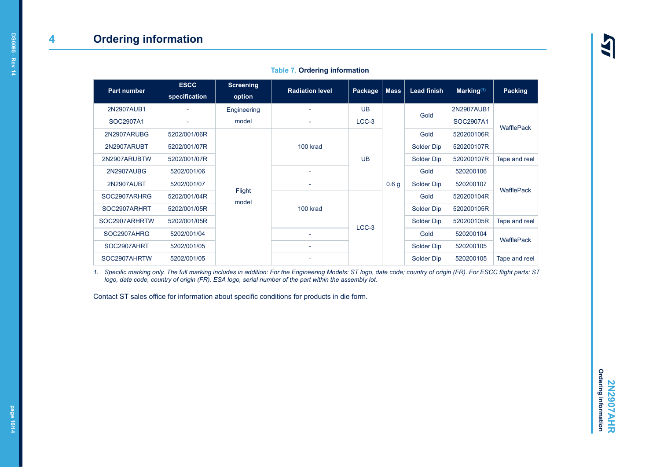|  |  |  | <b>Table 7. Ordering information</b> |  |
|--|--|--|--------------------------------------|--|
|--|--|--|--------------------------------------|--|

<span id="page-9-0"></span>

| <b>Part number</b> | <b>ESCC</b><br>specification | <b>Screening</b><br>option | <b>Radiation level</b>   | Package   | <b>Mass</b>      | <b>Lead finish</b> | Marking $(1)$ | Packing           |
|--------------------|------------------------------|----------------------------|--------------------------|-----------|------------------|--------------------|---------------|-------------------|
| 2N2907AUB1         |                              | Engineering                |                          | <b>UB</b> |                  | Gold               | 2N2907AUB1    |                   |
| SOC2907A1          |                              | model                      | $\overline{\phantom{a}}$ | $LCC-3$   |                  |                    | SOC2907A1     | <b>WafflePack</b> |
| 2N2907ARUBG        | 5202/001/06R                 |                            |                          |           |                  | Gold               | 520200106R    |                   |
| 2N2907ARUBT        | 5202/001/07R                 |                            | 100 krad                 |           |                  | Solder Dip         | 520200107R    |                   |
| 2N2907ARUBTW       | 5202/001/07R                 |                            |                          | <b>UB</b> |                  | Solder Dip         | 520200107R    | Tape and reel     |
| 2N2907AUBG         | 5202/001/06                  |                            |                          |           |                  | Gold               | 520200106     | <b>WafflePack</b> |
| 2N2907AUBT         | 5202/001/07                  |                            |                          |           | 0.6 <sub>g</sub> | Solder Dip         | 520200107     |                   |
| SOC2907ARHRG       | 5202/001/04R                 | Flight<br>model            |                          |           |                  | Gold               | 520200104R    |                   |
| SOC2907ARHRT       | 5202/001/05R                 |                            | 100 krad                 |           |                  | Solder Dip         | 520200105R    |                   |
| SOC2907ARHRTW      | 5202/001/05R                 |                            |                          | $LCC-3$   |                  | Solder Dip         | 520200105R    | Tape and reel     |
| SOC2907AHRG        | 5202/001/04                  |                            |                          |           |                  | Gold               | 520200104     |                   |
| SOC2907AHRT        | 5202/001/05                  |                            |                          |           |                  | Solder Dip         | 520200105     | WafflePack        |
| SOC2907AHRTW       | 5202/001/05                  |                            |                          |           |                  | Solder Dip         | 520200105     | Tape and reel     |

*1. Specific marking only. The full marking includes in addition: For the Engineering Models: ST logo, date code; country of origin (FR). For ESCC flight parts: ST logo, date code, country of origin (FR), ESA logo, serial number of the part within the assembly lot.*

Contact ST sales office for information about specific conditions for products in die form.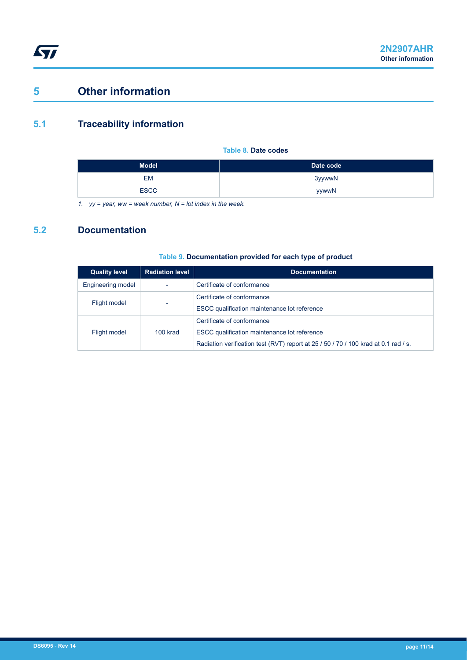# <span id="page-10-0"></span>**5 Other information**

## **5.1 Traceability information**

### **Table 8. Date codes**

| <b>Model</b> | Date code |
|--------------|-----------|
| <b>EM</b>    | 3yywwN    |
| <b>ESCC</b>  | yywwN     |

*1. yy = year, ww = week number, N = lot index in the week.*

## **5.2 Documentation**

| <b>Quality level</b>     | <b>Radiation level</b> | <b>Documentation</b>                                                                                                                                              |
|--------------------------|------------------------|-------------------------------------------------------------------------------------------------------------------------------------------------------------------|
| <b>Engineering model</b> |                        | Certificate of conformance                                                                                                                                        |
| Flight model             |                        | Certificate of conformance<br>ESCC qualification maintenance lot reference                                                                                        |
| Flight model             | 100 krad               | Certificate of conformance<br>ESCC qualification maintenance lot reference<br>Radiation verification test (RVT) report at 25 / 50 / 70 / 100 krad at 0.1 rad / s. |

### **Table 9. Documentation provided for each type of product**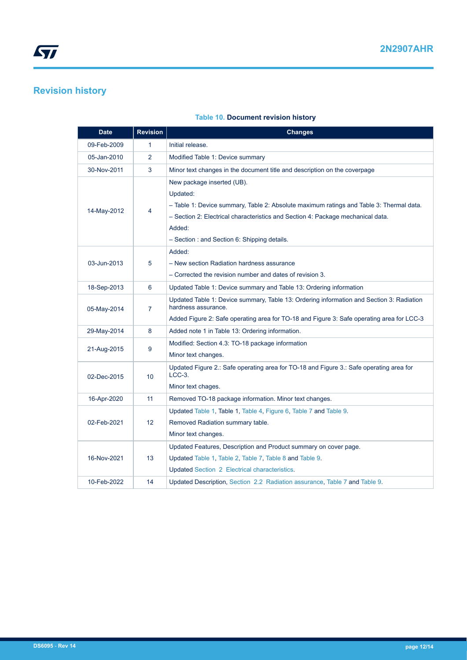# <span id="page-11-0"></span>**Revision history**

### **Table 10. Document revision history**

| <b>Date</b> | <b>Revision</b> | <b>Changes</b>                                                                                      |
|-------------|-----------------|-----------------------------------------------------------------------------------------------------|
| 09-Feb-2009 | $\mathbf{1}$    | Initial release.                                                                                    |
| 05-Jan-2010 | 2               | Modified Table 1: Device summary                                                                    |
| 30-Nov-2011 | 3               | Minor text changes in the document title and description on the coverpage                           |
| 14-May-2012 | 4               | New package inserted (UB).                                                                          |
|             |                 | Updated:                                                                                            |
|             |                 | - Table 1: Device summary, Table 2: Absolute maximum ratings and Table 3: Thermal data.             |
|             |                 | - Section 2: Electrical characteristics and Section 4: Package mechanical data.                     |
|             |                 | Added:                                                                                              |
|             |                 | $-$ Section : and Section 6: Shipping details.                                                      |
|             | 5               | Added:                                                                                              |
| 03-Jun-2013 |                 | - New section Radiation hardness assurance                                                          |
|             |                 | - Corrected the revision number and dates of revision 3.                                            |
| 18-Sep-2013 | 6               | Updated Table 1: Device summary and Table 13: Ordering information                                  |
|             | 7               | Updated Table 1: Device summary, Table 13: Ordering information and Section 3: Radiation            |
| 05-May-2014 |                 | hardness assurance.                                                                                 |
|             |                 | Added Figure 2: Safe operating area for TO-18 and Figure 3: Safe operating area for LCC-3           |
| 29-May-2014 | 8               | Added note 1 in Table 13: Ordering information.                                                     |
| 21-Aug-2015 | 9               | Modified: Section 4.3: TO-18 package information                                                    |
|             |                 | Minor text changes.                                                                                 |
| 02-Dec-2015 | 10              | Updated Figure 2.: Safe operating area for TO-18 and Figure 3.: Safe operating area for<br>$LCC-3.$ |
|             |                 | Minor text chages.                                                                                  |
| 16-Apr-2020 | 11              | Removed TO-18 package information. Minor text changes.                                              |
| 02-Feb-2021 | 12              | Updated Table 1, Table 1, Table 4, Figure 6, Table 7 and Table 9.                                   |
|             |                 | Removed Radiation summary table.                                                                    |
|             |                 | Minor text changes.                                                                                 |
|             |                 | Updated Features, Description and Product summary on cover page.                                    |
| 16-Nov-2021 | 13              | Updated Table 1, Table 2, Table 7, Table 8 and Table 9.                                             |
|             |                 | Updated Section 2 Electrical characteristics.                                                       |
|             |                 |                                                                                                     |
| 10-Feb-2022 | 14              | Updated Description, Section 2.2 Radiation assurance, Table 7 and Table 9.                          |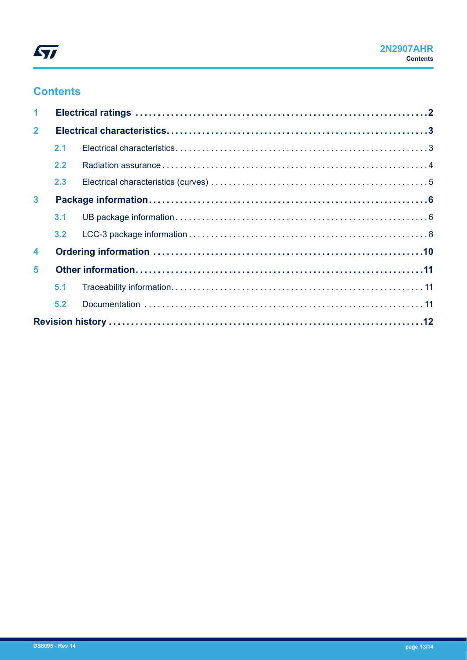## **Contents**

| $\mathbf 1$             |     |  |  |  |  |  |
|-------------------------|-----|--|--|--|--|--|
| $\overline{2}$          |     |  |  |  |  |  |
|                         | 2.1 |  |  |  |  |  |
|                         | 2.2 |  |  |  |  |  |
|                         | 2.3 |  |  |  |  |  |
| $\mathbf{3}$            |     |  |  |  |  |  |
|                         | 3.1 |  |  |  |  |  |
|                         |     |  |  |  |  |  |
| $\overline{\mathbf{A}}$ |     |  |  |  |  |  |
| 5                       |     |  |  |  |  |  |
|                         | 5.1 |  |  |  |  |  |
|                         | 5.2 |  |  |  |  |  |
|                         |     |  |  |  |  |  |